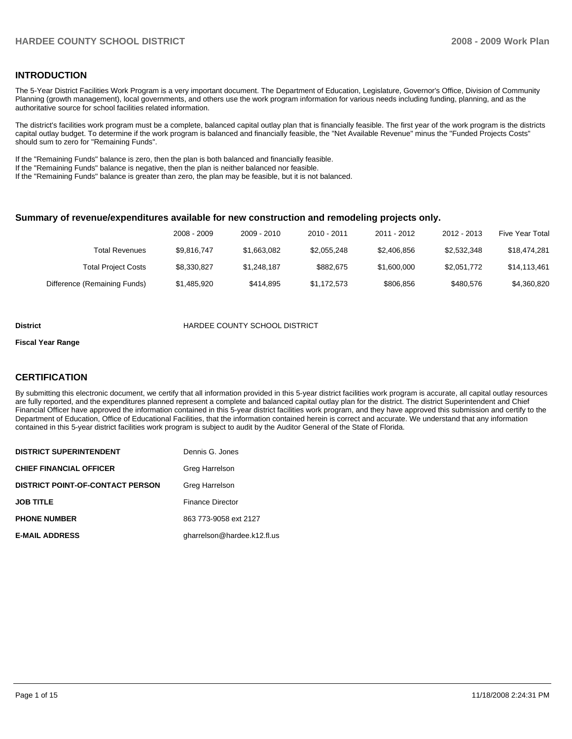#### **INTRODUCTION**

The 5-Year District Facilities Work Program is a very important document. The Department of Education, Legislature, Governor's Office, Division of Community Planning (growth management), local governments, and others use the work program information for various needs including funding, planning, and as the authoritative source for school facilities related information.

The district's facilities work program must be a complete, balanced capital outlay plan that is financially feasible. The first year of the work program is the districts capital outlay budget. To determine if the work program is balanced and financially feasible, the "Net Available Revenue" minus the "Funded Projects Costs" should sum to zero for "Remaining Funds".

If the "Remaining Funds" balance is zero, then the plan is both balanced and financially feasible.

If the "Remaining Funds" balance is negative, then the plan is neither balanced nor feasible.

If the "Remaining Funds" balance is greater than zero, the plan may be feasible, but it is not balanced.

#### **Summary of revenue/expenditures available for new construction and remodeling projects only.**

|                              | 2008 - 2009 | 2009 - 2010 | 2010 - 2011 | 2011 - 2012 | 2012 - 2013 | Five Year Total |
|------------------------------|-------------|-------------|-------------|-------------|-------------|-----------------|
| Total Revenues               | \$9.816.747 | \$1.663.082 | \$2.055.248 | \$2,406,856 | \$2,532,348 | \$18.474.281    |
| <b>Total Project Costs</b>   | \$8,330,827 | \$1,248,187 | \$882.675   | \$1,600,000 | \$2,051,772 | \$14,113,461    |
| Difference (Remaining Funds) | \$1,485,920 | \$414.895   | \$1,172,573 | \$806.856   | \$480.576   | \$4,360,820     |

#### **District** HARDEE COUNTY SCHOOL DISTRICT

#### **Fiscal Year Range**

#### **CERTIFICATION**

By submitting this electronic document, we certify that all information provided in this 5-year district facilities work program is accurate, all capital outlay resources are fully reported, and the expenditures planned represent a complete and balanced capital outlay plan for the district. The district Superintendent and Chief Financial Officer have approved the information contained in this 5-year district facilities work program, and they have approved this submission and certify to the Department of Education, Office of Educational Facilities, that the information contained herein is correct and accurate. We understand that any information contained in this 5-year district facilities work program is subject to audit by the Auditor General of the State of Florida.

| <b>DISTRICT SUPERINTENDENT</b>          | Dennis G. Jones             |
|-----------------------------------------|-----------------------------|
| <b>CHIEF FINANCIAL OFFICER</b>          | Greg Harrelson              |
| <b>DISTRICT POINT-OF-CONTACT PERSON</b> | Greg Harrelson              |
| <b>JOB TITLE</b>                        | <b>Finance Director</b>     |
| <b>PHONE NUMBER</b>                     | 863 773-9058 ext 2127       |
| <b>E-MAIL ADDRESS</b>                   | gharrelson@hardee.k12.fl.us |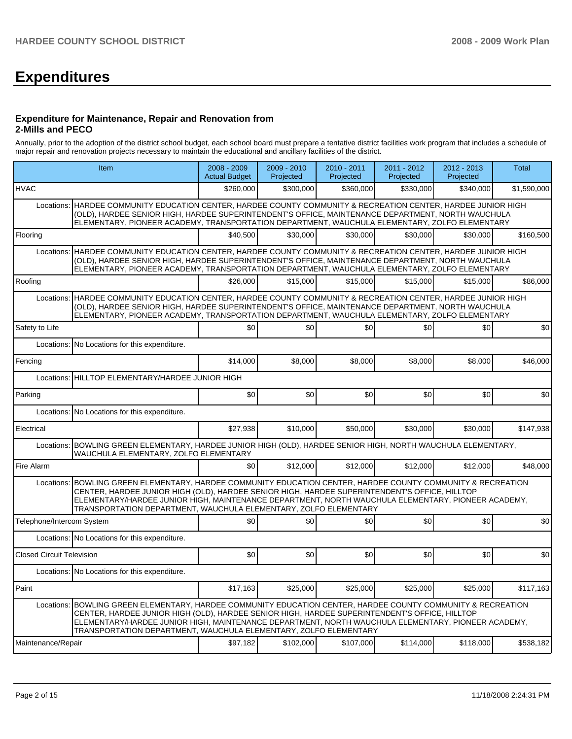# **Expenditures**

#### **Expenditure for Maintenance, Repair and Renovation from 2-Mills and PECO**

Annually, prior to the adoption of the district school budget, each school board must prepare a tentative district facilities work program that includes a schedule of major repair and renovation projects necessary to maintain the educational and ancillary facilities of the district.

|                                  | Item                                                                                                                                                                                                                                                                                                                                                                                    | 2008 - 2009<br><b>Actual Budget</b> | $2009 - 2010$<br>Projected | 2010 - 2011<br>Projected | 2011 - 2012<br>Projected | 2012 - 2013<br>Projected | <b>Total</b> |  |  |  |
|----------------------------------|-----------------------------------------------------------------------------------------------------------------------------------------------------------------------------------------------------------------------------------------------------------------------------------------------------------------------------------------------------------------------------------------|-------------------------------------|----------------------------|--------------------------|--------------------------|--------------------------|--------------|--|--|--|
| <b>HVAC</b>                      |                                                                                                                                                                                                                                                                                                                                                                                         | \$260,000                           | \$300,000                  | \$360,000                | \$330,000                | \$340,000                | \$1,590,000  |  |  |  |
|                                  | Locations: HARDEE COMMUNITY EDUCATION CENTER, HARDEE COUNTY COMMUNITY & RECREATION CENTER, HARDEE JUNIOR HIGH<br>(OLD), HARDEE SENIOR HIGH, HARDEE SUPERINTENDENT'S OFFICE, MAINTENANCE DEPARTMENT, NORTH WAUCHULA<br>ELEMENTARY, PIONEER ACADEMY, TRANSPORTATION DEPARTMENT, WAUCHULA ELEMENTARY, ZOLFO ELEMENTARY                                                                     |                                     |                            |                          |                          |                          |              |  |  |  |
| Flooring                         |                                                                                                                                                                                                                                                                                                                                                                                         | \$40,500                            | \$30.000                   | \$30,000                 | \$30,000                 | \$30,000                 | \$160,500    |  |  |  |
| Locations:                       | HARDEE COMMUNITY EDUCATION CENTER, HARDEE COUNTY COMMUNITY & RECREATION CENTER, HARDEE JUNIOR HIGH<br>(OLD), HARDEE SENIOR HIGH, HARDEE SUPERINTENDENT'S OFFICE, MAINTENANCE DEPARTMENT, NORTH WAUCHULA<br>ELEMENTARY, PIONEER ACADEMY, TRANSPORTATION DEPARTMENT, WAUCHULA ELEMENTARY, ZOLFO ELEMENTARY                                                                                |                                     |                            |                          |                          |                          |              |  |  |  |
| Roofing                          |                                                                                                                                                                                                                                                                                                                                                                                         | \$26,000                            | \$15,000                   | \$15,000                 | \$15,000                 | \$15,000                 | \$86,000     |  |  |  |
| Locations:                       | HARDEE COMMUNITY EDUCATION CENTER, HARDEE COUNTY COMMUNITY & RECREATION CENTER, HARDEE JUNIOR HIGH<br>(OLD), HARDEE SENIOR HIGH, HARDEE SUPERINTENDENT'S OFFICE, MAINTENANCE DEPARTMENT, NORTH WAUCHULA<br>ELEMENTARY, PIONEER ACADEMY, TRANSPORTATION DEPARTMENT, WAUCHULA ELEMENTARY, ZOLFO ELEMENTARY                                                                                |                                     |                            |                          |                          |                          |              |  |  |  |
| Safety to Life                   |                                                                                                                                                                                                                                                                                                                                                                                         | \$0                                 | \$0                        | \$0                      | \$0                      | \$0                      | \$0          |  |  |  |
|                                  | Locations: No Locations for this expenditure.                                                                                                                                                                                                                                                                                                                                           |                                     |                            |                          |                          |                          |              |  |  |  |
| Fencing                          |                                                                                                                                                                                                                                                                                                                                                                                         | \$14,000                            | \$8,000                    | \$8,000                  | \$8,000                  | \$8,000                  | \$46,000     |  |  |  |
|                                  | Locations: HILLTOP ELEMENTARY/HARDEE JUNIOR HIGH                                                                                                                                                                                                                                                                                                                                        |                                     |                            |                          |                          |                          |              |  |  |  |
| Parking                          |                                                                                                                                                                                                                                                                                                                                                                                         | \$0                                 | \$0                        | \$0                      | \$0                      | \$0                      | \$0          |  |  |  |
|                                  | Locations: No Locations for this expenditure.                                                                                                                                                                                                                                                                                                                                           |                                     |                            |                          |                          |                          |              |  |  |  |
| Electrical                       |                                                                                                                                                                                                                                                                                                                                                                                         | \$27,938                            | \$10,000                   | \$50,000                 | \$30,000                 | \$30,000                 | \$147,938    |  |  |  |
|                                  | Locations: BOWLING GREEN ELEMENTARY, HARDEE JUNIOR HIGH (OLD), HARDEE SENIOR HIGH, NORTH WAUCHULA ELEMENTARY,<br>WAUCHULA ELEMENTARY, ZOLFO ELEMENTARY                                                                                                                                                                                                                                  |                                     |                            |                          |                          |                          |              |  |  |  |
| Fire Alarm                       |                                                                                                                                                                                                                                                                                                                                                                                         | \$0                                 | \$12,000                   | \$12,000                 | \$12,000                 | \$12,000                 | \$48,000     |  |  |  |
|                                  | Locations: BOWLING GREEN ELEMENTARY, HARDEE COMMUNITY EDUCATION CENTER, HARDEE COUNTY COMMUNITY & RECREATION<br>CENTER, HARDEE JUNIOR HIGH (OLD), HARDEE SENIOR HIGH, HARDEE SUPERINTENDENT'S OFFICE, HILLTOP<br>ELEMENTARY/HARDEE JUNIOR HIGH, MAINTENANCE DEPARTMENT, NORTH WAUCHULA ELEMENTARY, PIONEER ACADEMY,<br>TRANSPORTATION DEPARTMENT, WAUCHULA ELEMENTARY, ZOLFO ELEMENTARY |                                     |                            |                          |                          |                          |              |  |  |  |
| Telephone/Intercom System        |                                                                                                                                                                                                                                                                                                                                                                                         | \$0                                 | \$0                        | \$0                      | \$0                      | \$0                      | \$0          |  |  |  |
|                                  | Locations: No Locations for this expenditure.                                                                                                                                                                                                                                                                                                                                           |                                     |                            |                          |                          |                          |              |  |  |  |
| <b>Closed Circuit Television</b> |                                                                                                                                                                                                                                                                                                                                                                                         | \$0                                 | \$0                        | \$0                      | \$0                      | \$0                      | \$0          |  |  |  |
|                                  | Locations: No Locations for this expenditure.                                                                                                                                                                                                                                                                                                                                           |                                     |                            |                          |                          |                          |              |  |  |  |
| Paint                            |                                                                                                                                                                                                                                                                                                                                                                                         | \$17,163                            | \$25,000                   | \$25,000                 | \$25,000                 | \$25,000                 | \$117,163    |  |  |  |
|                                  | Locations: BOWLING GREEN ELEMENTARY, HARDEE COMMUNITY EDUCATION CENTER, HARDEE COUNTY COMMUNITY & RECREATION<br>CENTER, HARDEE JUNIOR HIGH (OLD), HARDEE SENIOR HIGH, HARDEE SUPERINTENDENT'S OFFICE, HILLTOP<br>ELEMENTARY/HARDEE JUNIOR HIGH, MAINTENANCE DEPARTMENT, NORTH WAUCHULA ELEMENTARY, PIONEER ACADEMY,<br>TRANSPORTATION DEPARTMENT, WAUCHULA ELEMENTARY, ZOLFO ELEMENTARY |                                     |                            |                          |                          |                          |              |  |  |  |
| Maintenance/Repair               |                                                                                                                                                                                                                                                                                                                                                                                         | \$97,182                            | \$102,000                  | \$107,000                | \$114,000                | \$118,000                | \$538,182    |  |  |  |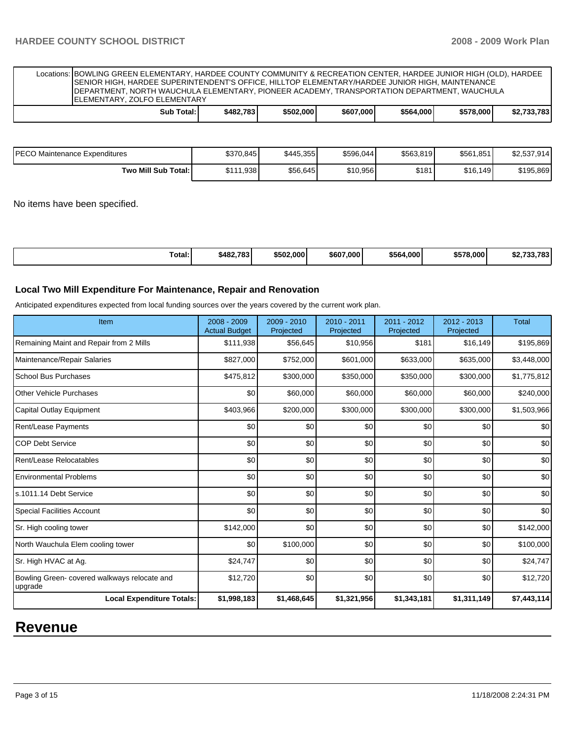| Locations: BOWLING GREEN ELEMENTARY, HARDEE COUNTY COMMUNITY & RECREATION CENTER, HARDEE JUNIOR HIGH (OLD), HARDEE<br>SENIOR HIGH, HARDEE SUPERINTENDENT'S OFFICE, HILLTOP ELEMENTARY/HARDEE JUNIOR HIGH, MAINTENANCE<br>DEPARTMENT, NORTH WAUCHULA ELEMENTARY, PIONEER ACADEMY, TRANSPORTATION DEPARTMENT, WAUCHULA<br><b>IELEMENTARY, ZOLFO ELEMENTARY</b> |  |  |  |  |  |  |  |  |  |
|--------------------------------------------------------------------------------------------------------------------------------------------------------------------------------------------------------------------------------------------------------------------------------------------------------------------------------------------------------------|--|--|--|--|--|--|--|--|--|
| \$2.733.783<br>\$578,000<br>\$607,000<br>\$482.783<br>\$502,000<br>\$564.000<br>Sub Total:                                                                                                                                                                                                                                                                   |  |  |  |  |  |  |  |  |  |

| IPECO Maintenance Expenditures | \$370,845 | \$445.355 | \$596,044 | \$563,819 | \$561,851 | \$2,537,914 |
|--------------------------------|-----------|-----------|-----------|-----------|-----------|-------------|
| Two Mill Sub Total:            | \$111.938 | \$56,645  | \$10.956  | \$181     | \$16,149  | \$195,869   |

No items have been specified.

| Total:<br>. | \$482,783 | \$502,000 | \$607,000 | \$564,000 | \$578,000 | <b>COL COL OU</b><br>ЭZ.<br>. ن |
|-------------|-----------|-----------|-----------|-----------|-----------|---------------------------------|
|-------------|-----------|-----------|-----------|-----------|-----------|---------------------------------|

#### **Local Two Mill Expenditure For Maintenance, Repair and Renovation**

Anticipated expenditures expected from local funding sources over the years covered by the current work plan.

| Item                                                    | 2008 - 2009<br><b>Actual Budget</b> | 2009 - 2010<br>Projected | 2010 - 2011<br>Projected | 2011 - 2012<br>Projected | $2012 - 2013$<br>Projected | <b>Total</b> |
|---------------------------------------------------------|-------------------------------------|--------------------------|--------------------------|--------------------------|----------------------------|--------------|
| Remaining Maint and Repair from 2 Mills                 | \$111,938                           | \$56,645                 | \$10,956                 | \$181                    | \$16,149                   | \$195,869    |
| Maintenance/Repair Salaries                             | \$827,000                           | \$752,000                | \$601,000                | \$633,000                | \$635,000                  | \$3,448,000  |
| <b>School Bus Purchases</b>                             | \$475,812                           | \$300,000                | \$350,000                | \$350,000                | \$300,000                  | \$1,775,812  |
| <b>Other Vehicle Purchases</b>                          | \$0                                 | \$60,000                 | \$60,000                 | \$60,000                 | \$60,000                   | \$240,000    |
| <b>Capital Outlay Equipment</b>                         | \$403,966                           | \$200,000                | \$300,000                | \$300,000                | \$300,000                  | \$1,503,966  |
| Rent/Lease Payments                                     | \$0                                 | \$0                      | \$0                      | \$0                      | \$0                        | \$0          |
| <b>COP Debt Service</b>                                 | \$0                                 | \$0                      | \$0                      | \$0                      | \$0                        | \$0          |
| Rent/Lease Relocatables                                 | \$0                                 | \$0                      | \$0                      | \$0                      | \$0                        | \$0          |
| <b>Environmental Problems</b>                           | \$0                                 | \$0                      | \$0                      | \$0                      | \$0                        | \$0          |
| s.1011.14 Debt Service                                  | \$0                                 | \$0                      | \$0                      | \$0                      | \$0                        | \$0          |
| <b>Special Facilities Account</b>                       | \$0                                 | \$0                      | \$0                      | \$0                      | \$0                        | \$0          |
| Sr. High cooling tower                                  | \$142,000                           | \$0                      | \$0                      | \$0                      | \$0                        | \$142,000    |
| North Wauchula Elem cooling tower                       | \$0                                 | \$100,000                | \$0                      | \$0                      | \$0                        | \$100,000    |
| Sr. High HVAC at Ag.                                    | \$24,747                            | \$0                      | \$0                      | \$0                      | \$0                        | \$24,747     |
| Bowling Green- covered walkways relocate and<br>upgrade | \$12,720                            | \$0                      | \$0                      | \$0                      | \$0                        | \$12,720     |
| <b>Local Expenditure Totals:</b>                        | \$1,998,183                         | \$1,468,645              | \$1,321,956              | \$1,343,181              | \$1,311,149                | \$7,443,114  |

# **Revenue**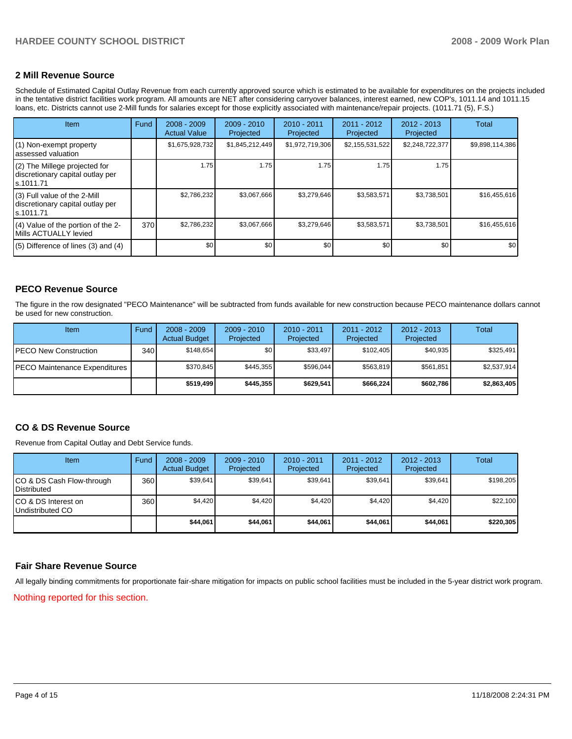#### **2 Mill Revenue Source**

Schedule of Estimated Capital Outlay Revenue from each currently approved source which is estimated to be available for expenditures on the projects included in the tentative district facilities work program. All amounts are NET after considering carryover balances, interest earned, new COP's, 1011.14 and 1011.15 loans, etc. Districts cannot use 2-Mill funds for salaries except for those explicitly associated with maintenance/repair projects. (1011.71 (5), F.S.)

| <b>Item</b>                                                                      | Fund | $2008 - 2009$<br><b>Actual Value</b> | $2009 - 2010$<br>Projected | $2010 - 2011$<br>Projected | 2011 - 2012<br>Projected | $2012 - 2013$<br>Projected | Total           |
|----------------------------------------------------------------------------------|------|--------------------------------------|----------------------------|----------------------------|--------------------------|----------------------------|-----------------|
| (1) Non-exempt property<br>lassessed valuation                                   |      | \$1,675,928,732                      | \$1,845,212,449            | \$1,972,719,306            | \$2,155,531,522          | \$2,248,722,377            | \$9,898,114,386 |
| (2) The Millege projected for<br>discretionary capital outlay per<br>ls.1011.71  |      | 1.75                                 | 1.75                       | 1.75                       | 1.75                     | 1.75                       |                 |
| $(3)$ Full value of the 2-Mill<br>discretionary capital outlay per<br>ls.1011.71 |      | \$2,786,232                          | \$3,067,666                | \$3,279,646                | \$3,583,571              | \$3,738,501                | \$16,455,616    |
| (4) Value of the portion of the 2-<br>Mills ACTUALLY levied                      | 370  | \$2,786,232                          | \$3,067,666                | \$3,279,646                | \$3,583,571              | \$3,738,501                | \$16,455,616    |
| $(5)$ Difference of lines $(3)$ and $(4)$                                        |      | \$0                                  | \$0                        | \$0                        | \$0                      | \$0                        | \$0             |

#### **PECO Revenue Source**

The figure in the row designated "PECO Maintenance" will be subtracted from funds available for new construction because PECO maintenance dollars cannot be used for new construction.

| Item                                 | Fund         | $2008 - 2009$<br><b>Actual Budget</b> | $2009 - 2010$<br>Projected | $2010 - 2011$<br>Projected | $2011 - 2012$<br>Projected | $2012 - 2013$<br>Projected | Total       |
|--------------------------------------|--------------|---------------------------------------|----------------------------|----------------------------|----------------------------|----------------------------|-------------|
| IPECO New Construction               | 340 <b>I</b> | \$148.654                             | \$0                        | \$33.497                   | \$102.405                  | \$40.935                   | \$325,491   |
| <b>PECO Maintenance Expenditures</b> |              | \$370.845                             | \$445.355                  | \$596.044                  | \$563.819                  | \$561.851                  | \$2.537.914 |
|                                      |              | \$519,499                             | \$445,355                  | \$629.541                  | \$666.224                  | \$602,786                  | \$2,863,405 |

#### **CO & DS Revenue Source**

Revenue from Capital Outlay and Debt Service funds.

| <b>Item</b>                                        | Fund | $2008 - 2009$<br><b>Actual Budget</b> | $2009 - 2010$<br>Projected | $2010 - 2011$<br>Projected | 2011 - 2012<br>Projected | $2012 - 2013$<br>Projected | Total     |
|----------------------------------------------------|------|---------------------------------------|----------------------------|----------------------------|--------------------------|----------------------------|-----------|
| ICO & DS Cash Flow-through<br><b>I</b> Distributed | 360  | \$39,641                              | \$39.641                   | \$39,641                   | \$39.641                 | \$39.641                   | \$198,205 |
| ICO & DS Interest on<br>Undistributed CO           | 360  | \$4,420                               | \$4,420                    | \$4,420                    | \$4.420                  | \$4,420                    | \$22,100  |
|                                                    |      | \$44,061                              | \$44,061                   | \$44.061                   | \$44,061                 | \$44,061                   | \$220,305 |

#### **Fair Share Revenue Source**

All legally binding commitments for proportionate fair-share mitigation for impacts on public school facilities must be included in the 5-year district work program. Nothing reported for this section.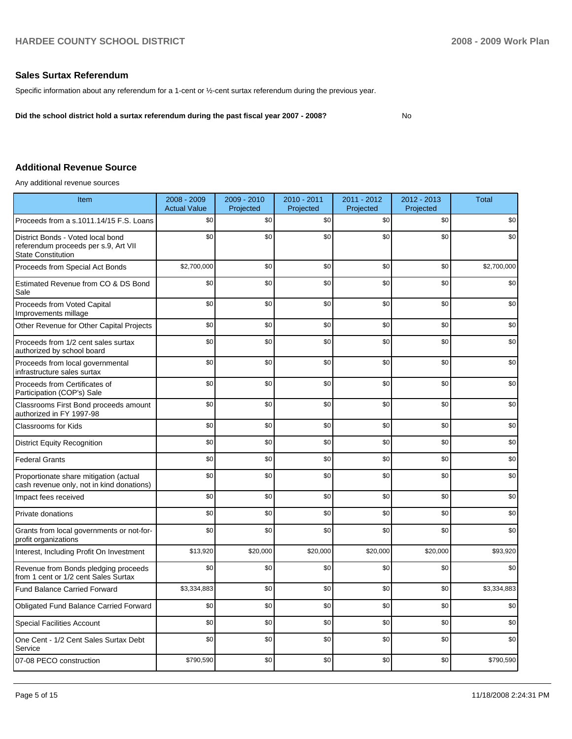### **Sales Surtax Referendum**

Specific information about any referendum for a 1-cent or ½-cent surtax referendum during the previous year.

**Did the school district hold a surtax referendum during the past fiscal year 2007 - 2008?** No

#### **Additional Revenue Source**

Any additional revenue sources

| Item                                                                                                   | 2008 - 2009<br><b>Actual Value</b> | 2009 - 2010<br>Projected | 2010 - 2011<br>Projected | 2011 - 2012<br>Projected | 2012 - 2013<br>Projected | <b>Total</b> |
|--------------------------------------------------------------------------------------------------------|------------------------------------|--------------------------|--------------------------|--------------------------|--------------------------|--------------|
| Proceeds from a s.1011.14/15 F.S. Loans                                                                | \$0                                | \$0                      | \$0                      | \$0                      | \$0                      | \$0          |
| District Bonds - Voted local bond<br>referendum proceeds per s.9, Art VII<br><b>State Constitution</b> | \$0                                | \$0                      | \$0                      | \$0                      | \$0                      | \$0          |
| Proceeds from Special Act Bonds                                                                        | \$2,700,000                        | \$0                      | \$0                      | \$0                      | \$0                      | \$2,700,000  |
| Estimated Revenue from CO & DS Bond<br>Sale                                                            | \$0                                | \$0                      | \$0                      | \$0                      | \$0                      | \$0          |
| Proceeds from Voted Capital<br>Improvements millage                                                    | \$0                                | \$0                      | \$0                      | \$0                      | \$0                      | \$0          |
| Other Revenue for Other Capital Projects                                                               | \$0                                | \$0                      | \$0                      | \$0                      | \$0                      | \$0          |
| Proceeds from 1/2 cent sales surtax<br>authorized by school board                                      | \$0                                | \$0                      | \$0                      | \$0                      | \$0                      | \$0          |
| Proceeds from local governmental<br>infrastructure sales surtax                                        | \$0                                | \$0                      | \$0                      | \$0                      | \$0                      | \$0          |
| Proceeds from Certificates of<br>Participation (COP's) Sale                                            | \$0                                | \$0                      | \$0                      | \$0                      | \$0                      | \$0          |
| Classrooms First Bond proceeds amount<br>authorized in FY 1997-98                                      | \$0                                | \$0                      | \$0                      | \$0                      | \$0                      | \$0          |
| <b>Classrooms for Kids</b>                                                                             | \$0                                | \$0                      | \$0                      | \$0                      | \$0                      | \$0          |
| <b>District Equity Recognition</b>                                                                     | \$0                                | \$0                      | \$0                      | \$0                      | \$0                      | \$0          |
| <b>Federal Grants</b>                                                                                  | \$0                                | \$0                      | \$0                      | \$0                      | \$0                      | \$0          |
| Proportionate share mitigation (actual<br>cash revenue only, not in kind donations)                    | \$0                                | \$0                      | \$0                      | \$0                      | \$0                      | \$0          |
| Impact fees received                                                                                   | \$0                                | \$0                      | \$0                      | \$0                      | \$0                      | \$0          |
| Private donations                                                                                      | \$0                                | \$0                      | \$0                      | \$0                      | \$0                      | \$0          |
| Grants from local governments or not-for-<br>profit organizations                                      | \$0                                | \$0                      | \$0                      | \$0                      | \$0                      | \$0          |
| Interest, Including Profit On Investment                                                               | \$13,920                           | \$20,000                 | \$20,000                 | \$20,000                 | \$20,000                 | \$93,920     |
| Revenue from Bonds pledging proceeds<br>from 1 cent or 1/2 cent Sales Surtax                           | \$0                                | \$0                      | \$0                      | \$0                      | \$0                      | \$0          |
| <b>Fund Balance Carried Forward</b>                                                                    | \$3,334,883                        | \$0                      | \$0                      | \$0                      | \$0                      | \$3,334,883  |
| Obligated Fund Balance Carried Forward                                                                 | \$0                                | \$0                      | \$0                      | \$0                      | \$0                      | \$0          |
| <b>Special Facilities Account</b>                                                                      | \$0                                | \$0                      | \$0                      | \$0                      | \$0                      | \$0          |
| One Cent - 1/2 Cent Sales Surtax Debt<br>Service                                                       | \$0                                | \$0                      | \$0                      | \$0                      | \$0                      | \$0          |
| 07-08 PECO construction                                                                                | \$790,590                          | \$0                      | \$0                      | \$0                      | \$0                      | \$790,590    |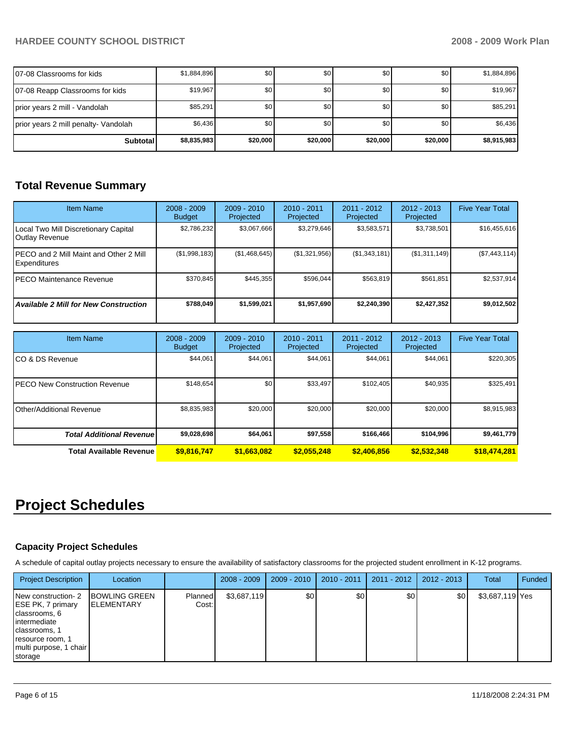## **HARDEE COUNTY SCHOOL DISTRICT 2008 - 2009 Work Plan**

| 107-08 Classrooms for kids           | \$1,884,896 | \$0      | \$0      | \$0 <sub>1</sub> | \$0      | \$1,884,896 |
|--------------------------------------|-------------|----------|----------|------------------|----------|-------------|
| 07-08 Reapp Classrooms for kids      | \$19,967    | \$0      | \$0      | \$0 <sub>1</sub> | \$0      | \$19,967    |
| prior years 2 mill - Vandolah        | \$85,291    | \$0      | \$0      | \$0 <sub>1</sub> | \$0      | \$85,291    |
| prior years 2 mill penalty- Vandolah | \$6,436     | \$0      | \$0      | \$0 <sub>1</sub> | \$0      | \$6,436     |
| <b>Subtotal</b>                      | \$8,835,983 | \$20,000 | \$20,000 | \$20,000         | \$20,000 | \$8,915,983 |

# **Total Revenue Summary**

| <b>Item Name</b>                                               | $2008 - 2009$<br><b>Budget</b> | $2009 - 2010$<br>Projected | $2010 - 2011$<br><b>Projected</b> | $2011 - 2012$<br>Projected | $2012 - 2013$<br>Projected | <b>Five Year Total</b> |
|----------------------------------------------------------------|--------------------------------|----------------------------|-----------------------------------|----------------------------|----------------------------|------------------------|
| Local Two Mill Discretionary Capital<br>Outlay Revenue         | \$2,786,232                    | \$3,067,666                | \$3,279,646                       | \$3,583,571                | \$3,738,501                | \$16,455,616           |
| IPECO and 2 Mill Maint and Other 2 Mill<br><b>Expenditures</b> | (\$1,998,183)                  | (\$1,468,645)              | (\$1,321,956)                     | (\$1,343,181)              | (\$1,311,149)              | (\$7,443,114)          |
| <b>IPECO Maintenance Revenue</b>                               | \$370.845                      | \$445.355                  | \$596.044                         | \$563.819                  | \$561.851                  | \$2.537.914            |
| <b>Available 2 Mill for New Construction</b>                   | \$788.049                      | \$1,599,021                | \$1,957,690                       | \$2,240,390                | \$2,427,352                | \$9,012,502            |

| <b>Item Name</b>                      | $2008 - 2009$<br><b>Budget</b> | $2009 - 2010$<br>Projected | $2010 - 2011$<br>Projected | 2011 - 2012<br>Projected | $2012 - 2013$<br>Projected | <b>Five Year Total</b> |
|---------------------------------------|--------------------------------|----------------------------|----------------------------|--------------------------|----------------------------|------------------------|
| ICO & DS Revenue                      | \$44,061                       | \$44,061                   | \$44,061                   | \$44,061                 | \$44,061                   | \$220,305              |
| <b>IPECO New Construction Revenue</b> | \$148,654                      | \$0                        | \$33,497                   | \$102,405                | \$40,935                   | \$325,491              |
| Other/Additional Revenue              | \$8,835,983                    | \$20,000                   | \$20,000                   | \$20,000                 | \$20,000                   | \$8,915,983            |
| <b>Total Additional Revenuel</b>      | \$9,028,698                    | \$64,061                   | \$97,558                   | \$166,466                | \$104,996                  | \$9,461,779            |
| Total Available Revenue               | \$9,816,747                    | \$1,663,082                | \$2.055.248                | \$2,406,856              | \$2,532,348                | \$18,474,281           |

# **Project Schedules**

### **Capacity Project Schedules**

A schedule of capital outlay projects necessary to ensure the availability of satisfactory classrooms for the projected student enrollment in K-12 programs.

| <b>Project Description</b>                                                                                                                         | Location                                   |                  | $2008 - 2009$ | $2009 - 2010$ | 2010 - 2011 | $2011 - 2012$ | 2012 - 2013 | <b>Total</b>    | Funded |
|----------------------------------------------------------------------------------------------------------------------------------------------------|--------------------------------------------|------------------|---------------|---------------|-------------|---------------|-------------|-----------------|--------|
| New construction-2<br>ESE PK, 7 primary<br>classrooms, 6<br>intermediate<br>classrooms, 1<br>resource room, 1<br>multi purpose, 1 chair<br>storage | <b>BOWLING GREEN</b><br><b>IELEMENTARY</b> | Planned<br>Cost: | \$3,687,119   | \$0           | \$0         | \$0           | \$0         | \$3,687,119 Yes |        |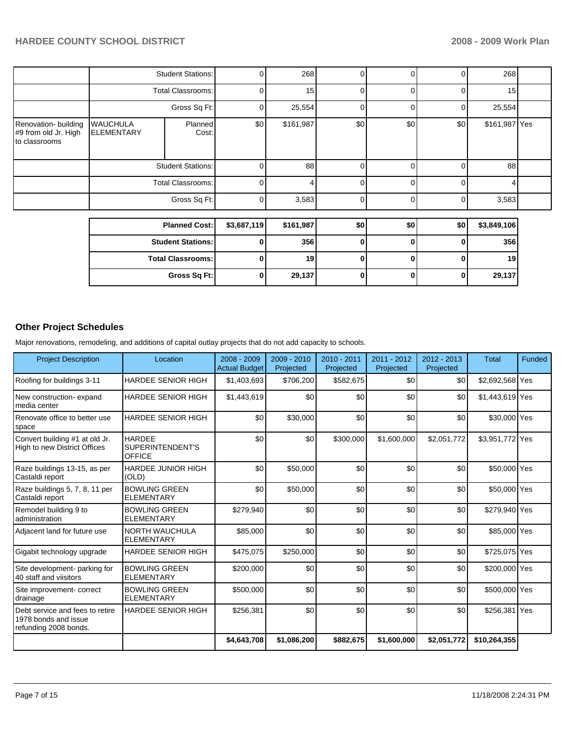|                                                               |                                      | <b>Student Stations:</b> | $\mathbf{0}$ | 268       | $\overline{0}$ | $\Omega$ | 0        | 268           |  |
|---------------------------------------------------------------|--------------------------------------|--------------------------|--------------|-----------|----------------|----------|----------|---------------|--|
|                                                               |                                      | <b>Total Classrooms:</b> | $\Omega$     | 15        | 0              | 0        | 0        | 15            |  |
|                                                               | Gross Sq Ft:                         |                          | 0            | 25,554    | 0              | 0        | 0        | 25,554        |  |
| Renovation- building<br>#9 from old Jr. High<br>to classrooms | <b>WAUCHULA</b><br><b>ELEMENTARY</b> | Planned<br>Cost:         | \$0          | \$161,987 | \$0            | \$0      | \$0      | \$161,987 Yes |  |
|                                                               | <b>Student Stations:</b>             |                          | 0            | 88        | $\overline{0}$ | $\Omega$ | $\Omega$ | 88            |  |
|                                                               |                                      | <b>Total Classrooms:</b> | $\Omega$     | 4         | $\overline{0}$ | 0        | $\Omega$ | 4             |  |
|                                                               |                                      | Gross Sq Ft:             | $\Omega$     | 3,583     | $\overline{0}$ | 0        | $\Omega$ | 3,583         |  |
|                                                               |                                      | <b>Planned Cost:</b>     | \$3,687,119  | \$161,987 | \$0            | \$0      | \$0      | \$3,849,106   |  |
|                                                               |                                      |                          |              |           |                |          |          |               |  |
|                                                               |                                      | <b>Student Stations:</b> | $\bf{0}$     | 356       | $\bf{0}$       | 0        | O        | 356           |  |
|                                                               |                                      | <b>Total Classrooms:</b> | 0            | 19        | 0              | 0        | 0        | 19            |  |

**Gross Sq Ft:** 0 29,137 0 0 0 29,137

# **Other Project Schedules**

Major renovations, remodeling, and additions of capital outlay projects that do not add capacity to schools.

| <b>Project Description</b>                                                       | Location                                           | 2008 - 2009<br><b>Actual Budget</b> | 2009 - 2010<br>Projected | $2010 - 2011$<br>Projected | 2011 - 2012<br>Projected | $2012 - 2013$<br>Projected | <b>Total</b>    | <b>Funded</b> |
|----------------------------------------------------------------------------------|----------------------------------------------------|-------------------------------------|--------------------------|----------------------------|--------------------------|----------------------------|-----------------|---------------|
| Roofing for buildings 3-11                                                       | <b>HARDEE SENIOR HIGH</b>                          | \$1,403,693                         | \$706,200                | \$582,675                  | \$0                      | \$0                        | \$2,692,568 Yes |               |
| New construction-expand<br>media center                                          | <b>HARDEE SENIOR HIGH</b>                          | \$1,443,619                         | \$0                      | \$0                        | \$0                      | \$0                        | \$1,443,619 Yes |               |
| Renovate office to better use<br>space                                           | <b>HARDEE SENIOR HIGH</b>                          | \$0                                 | \$30,000                 | \$0                        | \$0                      | \$0                        | \$30,000 Yes    |               |
| Convert building #1 at old Jr.<br>High to new District Offices                   | <b>HARDEE</b><br>SUPERINTENDENT'S<br><b>OFFICE</b> | \$0                                 | \$0                      | \$300,000                  | \$1,600,000              | \$2,051,772                | \$3,951,772 Yes |               |
| Raze buildings 13-15, as per<br>Castaldi report                                  | <b>HARDEE JUNIOR HIGH</b><br>(OLD)                 | \$0                                 | \$50,000                 | \$0                        | \$0                      | \$0                        | \$50,000 Yes    |               |
| Raze buildings 5, 7, 8, 11 per<br>Castaldi report                                | <b>BOWLING GREEN</b><br><b>ELEMENTARY</b>          | \$0                                 | \$50,000                 | \$0                        | \$0                      | \$0                        | \$50,000 Yes    |               |
| Remodel building 9 to<br>administration                                          | <b>BOWLING GREEN</b><br><b>ELEMENTARY</b>          | \$279,940                           | \$0                      | \$0                        | \$0                      | \$0                        | \$279,940 Yes   |               |
| Adjacent land for future use                                                     | <b>NORTH WAUCHULA</b><br><b>ELEMENTARY</b>         | \$85,000                            | \$0                      | \$0                        | \$0                      | \$0                        | \$85,000 Yes    |               |
| Gigabit technology upgrade                                                       | <b>HARDEE SENIOR HIGH</b>                          | \$475,075                           | \$250,000                | \$0                        | \$0                      | \$0                        | \$725,075 Yes   |               |
| Site development- parking for<br>40 staff and viisitors                          | <b>BOWLING GREEN</b><br><b>ELEMENTARY</b>          | \$200,000                           | \$0                      | \$0                        | \$0                      | \$0                        | \$200,000 Yes   |               |
| Site improvement- correct<br>drainage                                            | <b>BOWLING GREEN</b><br><b>ELEMENTARY</b>          | \$500,000                           | \$0                      | \$0                        | \$0                      | \$0                        | \$500,000 Yes   |               |
| Debt service and fees to retire<br>1978 bonds and issue<br>refunding 2008 bonds. | <b>HARDEE SENIOR HIGH</b>                          | \$256,381                           | \$0                      | \$0                        | \$0                      | \$0                        | \$256,381 Yes   |               |
|                                                                                  |                                                    | \$4,643,708                         | \$1,086,200              | \$882,675                  | \$1,600,000              | \$2,051,772                | \$10,264,355    |               |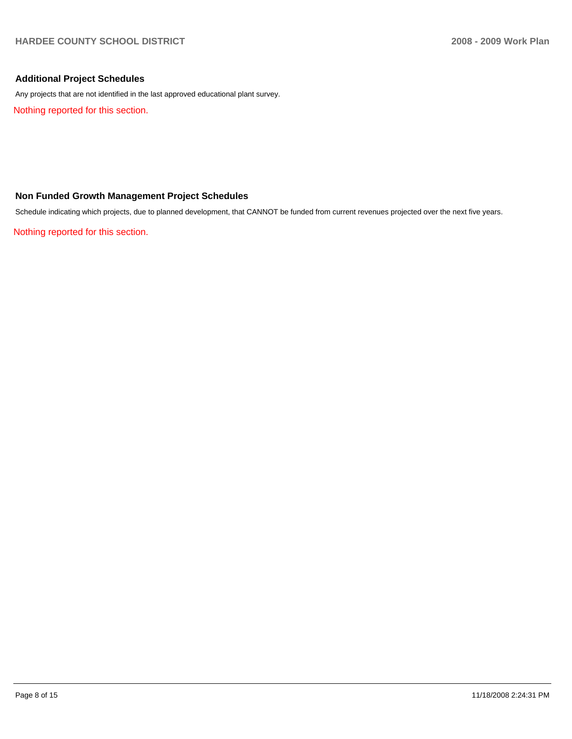#### **Additional Project Schedules**

Any projects that are not identified in the last approved educational plant survey.

Nothing reported for this section.

### **Non Funded Growth Management Project Schedules**

Schedule indicating which projects, due to planned development, that CANNOT be funded from current revenues projected over the next five years.

Nothing reported for this section.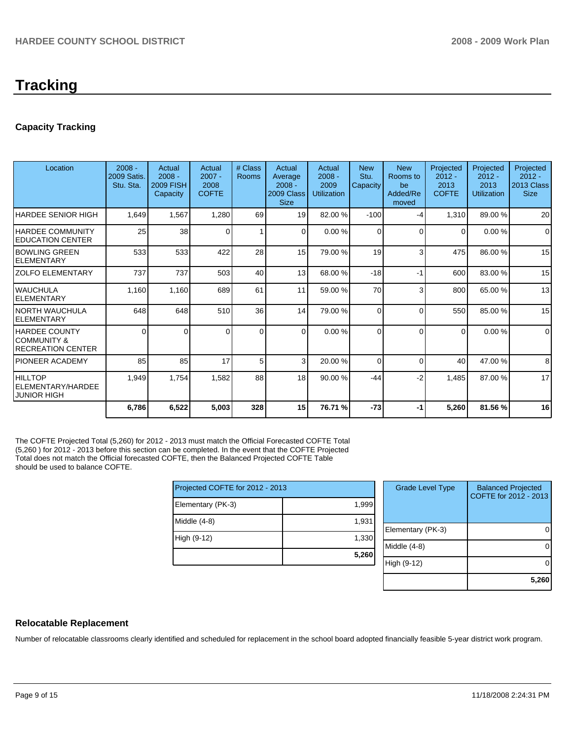# **Tracking**

# **Capacity Tracking**

| Location                                                    | $2008 -$<br><b>2009 Satis.</b><br>Stu. Sta. | Actual<br>$2008 -$<br><b>2009 FISH</b><br>Capacity | Actual<br>$2007 -$<br>2008<br><b>COFTE</b> | # Class<br>Rooms | Actual<br>Average<br>$2008 -$<br>2009 Class<br><b>Size</b> | Actual<br>$2008 -$<br>2009<br><b>Utilization</b> | <b>New</b><br>Stu.<br>Capacity | <b>New</b><br>Rooms to<br>be<br>Added/Re<br>moved | Projected<br>$2012 -$<br>2013<br><b>COFTE</b> | Projected<br>$2012 -$<br>2013<br><b>Utilization</b> | Projected<br>$2012 -$<br>2013 Class<br><b>Size</b> |
|-------------------------------------------------------------|---------------------------------------------|----------------------------------------------------|--------------------------------------------|------------------|------------------------------------------------------------|--------------------------------------------------|--------------------------------|---------------------------------------------------|-----------------------------------------------|-----------------------------------------------------|----------------------------------------------------|
| <b>HARDEE SENIOR HIGH</b>                                   | 1,649                                       | 1,567                                              | 1,280                                      | 69               | 19                                                         | 82.00 %                                          | $-100$                         | -4                                                | 1,310                                         | 89.00 %                                             | 20                                                 |
| <b>HARDEE COMMUNITY</b><br><b>EDUCATION CENTER</b>          | 25                                          | 38                                                 | $\Omega$                                   | 1                | $\Omega$                                                   | 0.00%                                            | 0                              | $\Omega$                                          | 0                                             | 0.00%                                               | $\Omega$                                           |
| <b>IBOWLING GREEN</b><br>IELEMENTARY                        | 533                                         | 533                                                | 422                                        | 28               | 15                                                         | 79.00 %                                          | 19                             | 3                                                 | 475                                           | 86.00 %                                             | 15                                                 |
| IZOLFO ELEMENTARY                                           | 737                                         | 737                                                | 503                                        | 40               | 13                                                         | 68.00 %                                          | $-18$                          | $-1$                                              | 600                                           | 83.00 %                                             | 15                                                 |
| IWAUCHULA<br>IELEMENTARY                                    | 1,160                                       | 1,160                                              | 689                                        | 61               | 11                                                         | 59.00 %                                          | 70                             | 3                                                 | 800                                           | 65.00 %                                             | 13                                                 |
| INORTH WAUCHULA<br><b>IELEMENTARY</b>                       | 648                                         | 648                                                | 510                                        | 36               | 14                                                         | 79.00 %                                          | 0                              | $\Omega$                                          | 550                                           | 85.00 %                                             | 15                                                 |
| IHARDEE COUNTY<br>ICOMMUNITY &<br><b>IRECREATION CENTER</b> | $\Omega$                                    | 0                                                  | <sup>0</sup>                               | $\Omega$         | $\Omega$                                                   | 0.00%                                            | 0                              | $\Omega$                                          | $\Omega$                                      | 0.00%                                               | $\mathbf 0$                                        |
| <b>IPIONEER ACADEMY</b>                                     | 85                                          | 85                                                 | 17                                         | 5                | 3                                                          | 20.00 %                                          | $\Omega$                       | $\Omega$                                          | 40                                            | 47.00 %                                             | 8                                                  |
| HILLTOP<br>IELEMENTARY/HARDEE<br><b>JUNIOR HIGH</b>         | 1,949                                       | 1,754                                              | 1,582                                      | 88               | 18                                                         | 90.00 %                                          | $-44$                          | $-2$                                              | 1,485                                         | 87.00 %                                             | 17                                                 |
|                                                             | 6,786                                       | 6,522                                              | 5,003                                      | 328              | 15                                                         | 76.71 %                                          | $-73$                          | -1                                                | 5,260                                         | 81.56 %                                             | 16                                                 |

The COFTE Projected Total (5,260) for 2012 - 2013 must match the Official Forecasted COFTE Total (5,260 ) for 2012 - 2013 before this section can be completed. In the event that the COFTE Projected Total does not match the Official forecasted COFTE, then the Balanced Projected COFTE Table should be used to balance COFTE.

| Projected COFTE for 2012 - 2013 |       |  |  |  |  |  |
|---------------------------------|-------|--|--|--|--|--|
| Elementary (PK-3)               | 1,999 |  |  |  |  |  |
| Middle (4-8)                    | 1,931 |  |  |  |  |  |
| High (9-12)                     | 1,330 |  |  |  |  |  |
|                                 | 5,260 |  |  |  |  |  |

| <b>Grade Level Type</b> | <b>Balanced Projected</b><br>COFTE for 2012 - 2013 |
|-------------------------|----------------------------------------------------|
| Elementary (PK-3)       |                                                    |
| Middle (4-8)            |                                                    |
| High (9-12)             |                                                    |
|                         | 5,260                                              |

### **Relocatable Replacement**

Number of relocatable classrooms clearly identified and scheduled for replacement in the school board adopted financially feasible 5-year district work program.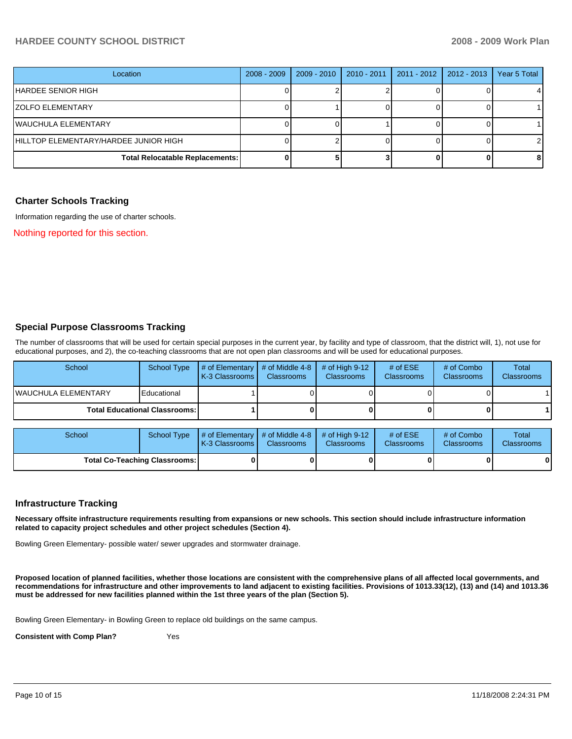### **HARDEE COUNTY SCHOOL DISTRICT 2008 - 2009 Work Plan**

| Location                               | $2008 - 2009$ | $2009 - 2010$ | $2010 - 2011$ | $2011 - 2012$ | $\vert$ 2012 - 2013 | Year 5 Total |
|----------------------------------------|---------------|---------------|---------------|---------------|---------------------|--------------|
| HARDEE SENIOR HIGH                     |               |               |               |               |                     |              |
| IZOLFO ELEMENTARY                      |               |               |               |               |                     |              |
| IWAUCHULA ELEMENTARY                   |               |               |               |               |                     |              |
| HILLTOP ELEMENTARY/HARDEE JUNIOR HIGH  |               |               |               |               |                     |              |
| <b>Total Relocatable Replacements:</b> |               |               |               |               |                     | 8            |

#### **Charter Schools Tracking**

Information regarding the use of charter schools.

Nothing reported for this section.

#### **Special Purpose Classrooms Tracking**

The number of classrooms that will be used for certain special purposes in the current year, by facility and type of classroom, that the district will, 1), not use for educational purposes, and 2), the co-teaching classrooms that are not open plan classrooms and will be used for educational purposes.

| School                                 | School Type | $\parallel$ # of Elementary $\parallel$ # of Middle 4-8 $\parallel$<br><b>K-3 Classrooms</b> | <b>Classrooms</b> | $\#$ of High 9-12<br><b>Classrooms</b> | # of $ESE$<br>Classrooms | # of Combo<br><b>Classrooms</b> | Total<br><b>Classrooms</b> |
|----------------------------------------|-------------|----------------------------------------------------------------------------------------------|-------------------|----------------------------------------|--------------------------|---------------------------------|----------------------------|
| IWAUCHULA ELEMENTARY                   | Educational |                                                                                              |                   |                                        |                          |                                 |                            |
| <b>Total Educational Classrooms: I</b> |             |                                                                                              |                   |                                        | 0                        |                                 |                            |

| School                               | School Type | $\parallel$ # of Elementary $\parallel$ # of Middle 4-8 $\parallel$ # of High 9-12<br><b>IK-3 Classrooms I</b> | <b>Classrooms</b> | <b>Classrooms</b> | # of $ESE$<br><b>Classrooms</b> | # of Combo<br><b>Classrooms</b> | Total<br><b>Classrooms</b> |
|--------------------------------------|-------------|----------------------------------------------------------------------------------------------------------------|-------------------|-------------------|---------------------------------|---------------------------------|----------------------------|
| <b>Total Co-Teaching Classrooms:</b> |             |                                                                                                                |                   |                   | 0                               | 0                               |                            |

#### **Infrastructure Tracking**

**Necessary offsite infrastructure requirements resulting from expansions or new schools. This section should include infrastructure information related to capacity project schedules and other project schedules (Section 4).** 

Bowling Green Elementary- possible water/ sewer upgrades and stormwater drainage.

**Proposed location of planned facilities, whether those locations are consistent with the comprehensive plans of all affected local governments, and recommendations for infrastructure and other improvements to land adjacent to existing facilities. Provisions of 1013.33(12), (13) and (14) and 1013.36 must be addressed for new facilities planned within the 1st three years of the plan (Section 5).** 

Bowling Green Elementary- in Bowling Green to replace old buildings on the same campus.

**Consistent with Comp Plan?** Yes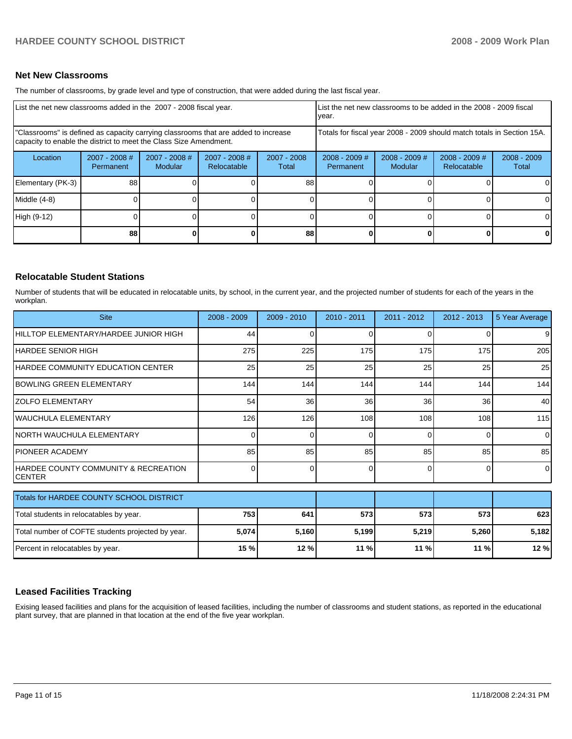#### **Net New Classrooms**

The number of classrooms, by grade level and type of construction, that were added during the last fiscal year.

| List the net new classrooms added in the 2007 - 2008 fiscal year.                                                                                       |                                     |                            |                                |                        | List the net new classrooms to be added in the 2008 - 2009 fiscal<br>year. |                            |                                |                        |  |
|---------------------------------------------------------------------------------------------------------------------------------------------------------|-------------------------------------|----------------------------|--------------------------------|------------------------|----------------------------------------------------------------------------|----------------------------|--------------------------------|------------------------|--|
| "Classrooms" is defined as capacity carrying classrooms that are added to increase<br>capacity to enable the district to meet the Class Size Amendment. |                                     |                            |                                |                        | Totals for fiscal year 2008 - 2009 should match totals in Section 15A.     |                            |                                |                        |  |
| Location                                                                                                                                                | $2007 - 2008$ #<br><b>Permanent</b> | $2007 - 2008$ #<br>Modular | $2007 - 2008$ #<br>Relocatable | $2007 - 2008$<br>Total | $2008 - 2009$ #<br>Permanent                                               | $2008 - 2009$ #<br>Modular | $2008 - 2009$ #<br>Relocatable | $2008 - 2009$<br>Total |  |
| Elementary (PK-3)                                                                                                                                       | 88                                  |                            |                                | 88                     |                                                                            |                            |                                | $\Omega$               |  |
| Middle (4-8)                                                                                                                                            |                                     |                            |                                |                        |                                                                            |                            |                                | <sup>0</sup>           |  |
| High (9-12)                                                                                                                                             |                                     |                            |                                |                        |                                                                            |                            |                                | $\Omega$               |  |
|                                                                                                                                                         | 88                                  |                            |                                | 88                     |                                                                            |                            | 0                              | $\mathbf{0}$           |  |

#### **Relocatable Student Stations**

Number of students that will be educated in relocatable units, by school, in the current year, and the projected number of students for each of the years in the workplan.

| <b>Site</b>                                           | $2008 - 2009$ | $2009 - 2010$ | $2010 - 2011$ | 2011 - 2012 | $2012 - 2013$ | 5 Year Average |
|-------------------------------------------------------|---------------|---------------|---------------|-------------|---------------|----------------|
| HILLTOP ELEMENTARY/HARDEE JUNIOR HIGH                 | 44            |               |               |             |               |                |
| IHARDEE SENIOR HIGH                                   | 275           | 225           | 175           | 175         | 175           | 205            |
| HARDEE COMMUNITY EDUCATION CENTER                     | 25            | 25            | 25            | 25          | 25            | 25             |
| BOWLING GREEN ELEMENTARY                              | 144           | 144           | 144           | 144         | 144           | 144            |
| IZOLFO ELEMENTARY                                     | 54            | 36            | 36            | 36          | 36            | 40             |
| lwauchula Elementary                                  | 126           | 126           | 108           | 108         | 108           | 115            |
| <b>NORTH WAUCHULA ELEMENTARY</b>                      | ∩             | 0             | $\Omega$      | $\Omega$    | $\Omega$      | $\Omega$       |
| <b>IPIONEER ACADEMY</b>                               | 85            | 85            | 85            | 85          | 85            | 85             |
| HARDEE COUNTY COMMUNITY & RECREATION<br><b>CENTER</b> | C             | <sup>0</sup>  | $\Omega$      | $\Omega$    | $\Omega$      | $\Omega$       |
| Totals for HARDEE COUNTY SCHOOL DISTRICT              |               |               |               |             |               |                |
| Total students in relocatables by year.               | 753           | 641           | 573           | 573         | 573           | 623            |
| Total number of COFTE students projected by year.     | 5,074         | 5,160         | 5,199         | 5,219       | 5,260         | 5,182          |
| Percent in relocatables by year.                      | 15 %          | 12 %          | 11 %          | 11 %        | 11 %          | 12 %           |

#### **Leased Facilities Tracking**

Exising leased facilities and plans for the acquisition of leased facilities, including the number of classrooms and student stations, as reported in the educational plant survey, that are planned in that location at the end of the five year workplan.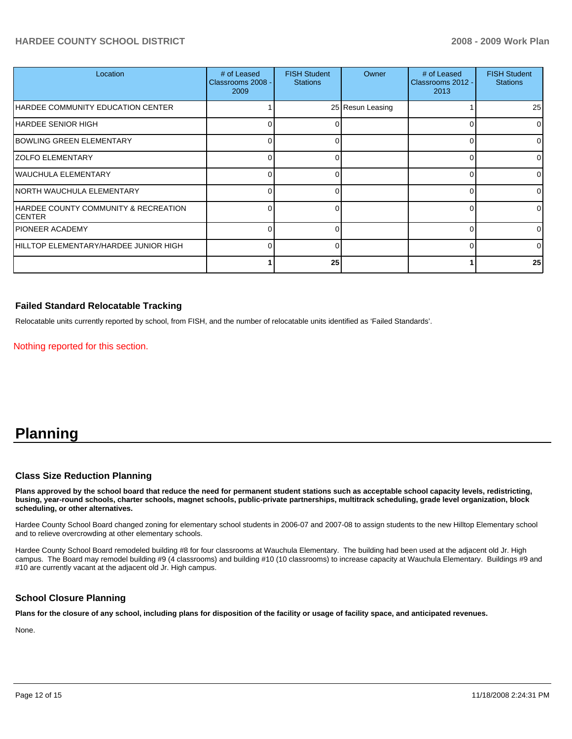### **HARDEE COUNTY SCHOOL DISTRICT 2008 - 2009 Work Plan**

| Location                                       | # of Leased<br>Classrooms 2008 -<br>2009 | <b>FISH Student</b><br><b>Stations</b> | Owner            | # of Leased<br>Classrooms 2012 -<br>2013 | <b>FISH Student</b><br><b>Stations</b> |
|------------------------------------------------|------------------------------------------|----------------------------------------|------------------|------------------------------------------|----------------------------------------|
| HARDEE COMMUNITY EDUCATION CENTER              |                                          |                                        | 25 Resun Leasing |                                          | 25                                     |
| <b>HARDEE SENIOR HIGH</b>                      |                                          |                                        |                  | $\Omega$                                 | $\Omega$                               |
| <b>BOWLING GREEN ELEMENTARY</b>                | n                                        |                                        |                  | $\Omega$                                 | ∩                                      |
| <b>ZOLFO ELEMENTARY</b>                        |                                          |                                        |                  | $\Omega$                                 |                                        |
| <b>WAUCHULA ELEMENTARY</b>                     | U                                        |                                        |                  | $\Omega$                                 |                                        |
| NORTH WAUCHULA ELEMENTARY                      | U                                        |                                        |                  | $\Omega$                                 |                                        |
| HARDEE COUNTY COMMUNITY & RECREATION<br>CENTER | U                                        |                                        |                  | $\Omega$                                 |                                        |
| <b>PIONEER ACADEMY</b>                         | U                                        | ∩                                      |                  | $\Omega$                                 | $\Omega$                               |
| HILLTOP ELEMENTARY/HARDEE JUNIOR HIGH          | 0                                        | U                                      |                  | $\Omega$                                 | $\Omega$                               |
|                                                |                                          | 25                                     |                  |                                          | 25                                     |

#### **Failed Standard Relocatable Tracking**

Relocatable units currently reported by school, from FISH, and the number of relocatable units identified as 'Failed Standards'.

Nothing reported for this section.

# **Planning**

#### **Class Size Reduction Planning**

**Plans approved by the school board that reduce the need for permanent student stations such as acceptable school capacity levels, redistricting, busing, year-round schools, charter schools, magnet schools, public-private partnerships, multitrack scheduling, grade level organization, block scheduling, or other alternatives.** 

Hardee County School Board changed zoning for elementary school students in 2006-07 and 2007-08 to assign students to the new Hilltop Elementary school and to relieve overcrowding at other elementary schools.

Hardee County School Board remodeled building #8 for four classrooms at Wauchula Elementary. The building had been used at the adjacent old Jr. High campus. The Board may remodel building #9 (4 classrooms) and building #10 (10 classrooms) to increase capacity at Wauchula Elementary. Buildings #9 and #10 are currently vacant at the adjacent old Jr. High campus.

#### **School Closure Planning**

**Plans for the closure of any school, including plans for disposition of the facility or usage of facility space, and anticipated revenues.** 

None.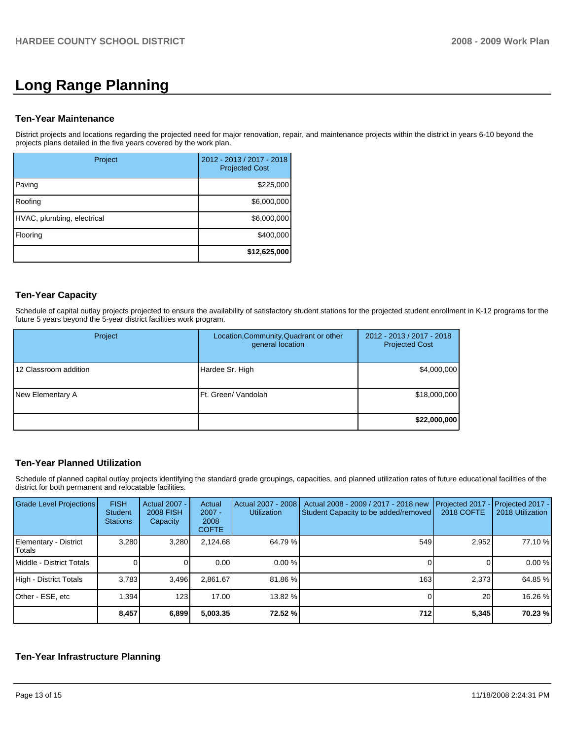# **Long Range Planning**

#### **Ten-Year Maintenance**

District projects and locations regarding the projected need for major renovation, repair, and maintenance projects within the district in years 6-10 beyond the projects plans detailed in the five years covered by the work plan.

| Project                    | 2012 - 2013 / 2017 - 2018<br><b>Projected Cost</b> |
|----------------------------|----------------------------------------------------|
| Paving                     | \$225,000                                          |
| Roofing                    | \$6,000,000                                        |
| HVAC, plumbing, electrical | \$6,000,000                                        |
| Flooring                   | \$400,000                                          |
|                            | \$12,625,000                                       |

#### **Ten-Year Capacity**

Schedule of capital outlay projects projected to ensure the availability of satisfactory student stations for the projected student enrollment in K-12 programs for the future 5 years beyond the 5-year district facilities work program.

| Project               | Location, Community, Quadrant or other<br>general location | 2012 - 2013 / 2017 - 2018<br><b>Projected Cost</b> |
|-----------------------|------------------------------------------------------------|----------------------------------------------------|
| 12 Classroom addition | Hardee Sr. High                                            | \$4,000,000                                        |
| New Elementary A      | Ft. Green/ Vandolah                                        | \$18,000,000                                       |
|                       |                                                            | \$22,000,000                                       |

#### **Ten-Year Planned Utilization**

Schedule of planned capital outlay projects identifying the standard grade groupings, capacities, and planned utilization rates of future educational facilities of the district for both permanent and relocatable facilities.

| Grade Level Projections         | <b>FISH</b><br>Student<br><b>Stations</b> | <b>Actual 2007 -</b><br><b>2008 FISH</b><br>Capacity | Actual<br>$2007 -$<br>2008<br><b>COFTE</b> | Actual 2007 - 2008<br><b>Utilization</b> | Actual 2008 - 2009 / 2017 - 2018 new<br>Student Capacity to be added/removed | Projected 2017<br><b>2018 COFTE</b> | Projected 2017 -<br>2018 Utilization |
|---------------------------------|-------------------------------------------|------------------------------------------------------|--------------------------------------------|------------------------------------------|------------------------------------------------------------------------------|-------------------------------------|--------------------------------------|
| Elementary - District<br>Totals | 3.280                                     | 3,280                                                | 2.124.68                                   | 64.79 %                                  | 549                                                                          | 2,952                               | 77.10 %                              |
| Middle - District Totals        |                                           |                                                      | 0.00                                       | 0.00%                                    |                                                                              |                                     | 0.00 %                               |
| High - District Totals          | 3.783                                     | 3,496                                                | 2.861.67                                   | 81.86 %                                  | 163                                                                          | 2,373                               | 64.85 %                              |
| Other - ESE, etc                | 1.394                                     | 123                                                  | 17.00                                      | 13.82 %                                  |                                                                              | 20 <sub>1</sub>                     | 16.26 %                              |
|                                 | 8,457                                     | 6,899                                                | 5,003.35                                   | 72.52 %                                  | 712                                                                          | 5,345                               | 70.23 %                              |

### **Ten-Year Infrastructure Planning**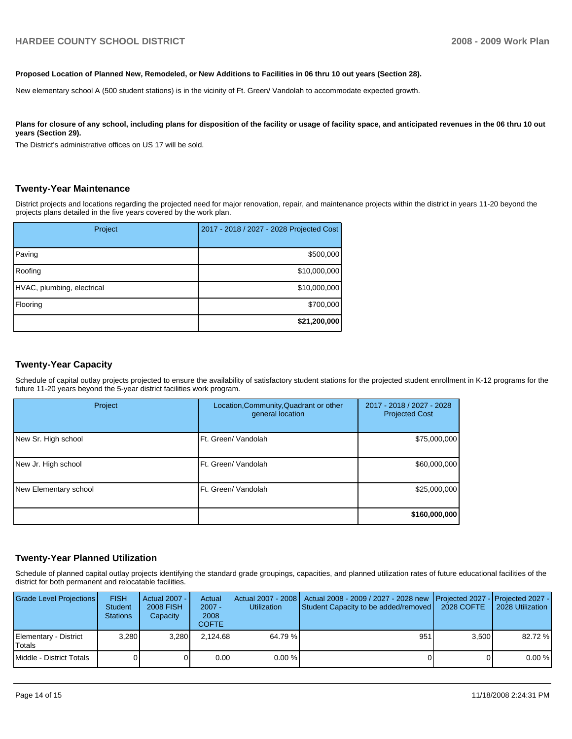#### **Proposed Location of Planned New, Remodeled, or New Additions to Facilities in 06 thru 10 out years (Section 28).**

New elementary school A (500 student stations) is in the vicinity of Ft. Green/ Vandolah to accommodate expected growth.

#### Plans for closure of any school, including plans for disposition of the facility or usage of facility space, and anticipated revenues in the 06 thru 10 out **years (Section 29).**

The District's administrative offices on US 17 will be sold.

#### **Twenty-Year Maintenance**

District projects and locations regarding the projected need for major renovation, repair, and maintenance projects within the district in years 11-20 beyond the projects plans detailed in the five years covered by the work plan.

| Project                    | 2017 - 2018 / 2027 - 2028 Projected Cost |
|----------------------------|------------------------------------------|
| Paving                     | \$500,000                                |
| Roofing                    | \$10,000,000                             |
| HVAC, plumbing, electrical | \$10,000,000                             |
| Flooring                   | \$700,000                                |
|                            | \$21,200,000                             |

#### **Twenty-Year Capacity**

Schedule of capital outlay projects projected to ensure the availability of satisfactory student stations for the projected student enrollment in K-12 programs for the future 11-20 years beyond the 5-year district facilities work program.

| Project               | Location, Community, Quadrant or other<br>general location | 2017 - 2018 / 2027 - 2028<br><b>Projected Cost</b> |
|-----------------------|------------------------------------------------------------|----------------------------------------------------|
| New Sr. High school   | Ft. Green/ Vandolah                                        | \$75,000,000                                       |
| New Jr. High school   | Ft. Green/ Vandolah                                        | \$60,000,000                                       |
| New Elementary school | Ft. Green/ Vandolah                                        | \$25,000,000                                       |
|                       |                                                            | \$160,000,000                                      |

#### **Twenty-Year Planned Utilization**

Schedule of planned capital outlay projects identifying the standard grade groupings, capacities, and planned utilization rates of future educational facilities of the district for both permanent and relocatable facilities.

| <b>Grade Level Projections</b>  | <b>FISH</b><br><b>Student</b><br><b>Stations</b> | Actual 2007 - I<br><b>2008 FISH</b><br>Capacity | Actual<br>$2007 -$<br>2008<br><b>COFTE</b> | <b>Utilization</b> | Actual 2007 - 2008   Actual 2008 - 2009 / 2027 - 2028 new<br>Student Capacity to be added/removed | 2028 COFTE | Projected 2027 - Projected 2027 -<br>2028 Utilization |
|---------------------------------|--------------------------------------------------|-------------------------------------------------|--------------------------------------------|--------------------|---------------------------------------------------------------------------------------------------|------------|-------------------------------------------------------|
| Elementary - District<br>Totals | 3.280                                            | 3.280                                           | 2.124.68                                   | 64.79 %            | 951                                                                                               | 3.500      | 82.72 %                                               |
| Middle - District Totals        |                                                  |                                                 | 0.00                                       | $0.00\%$           |                                                                                                   |            | 0.00%                                                 |